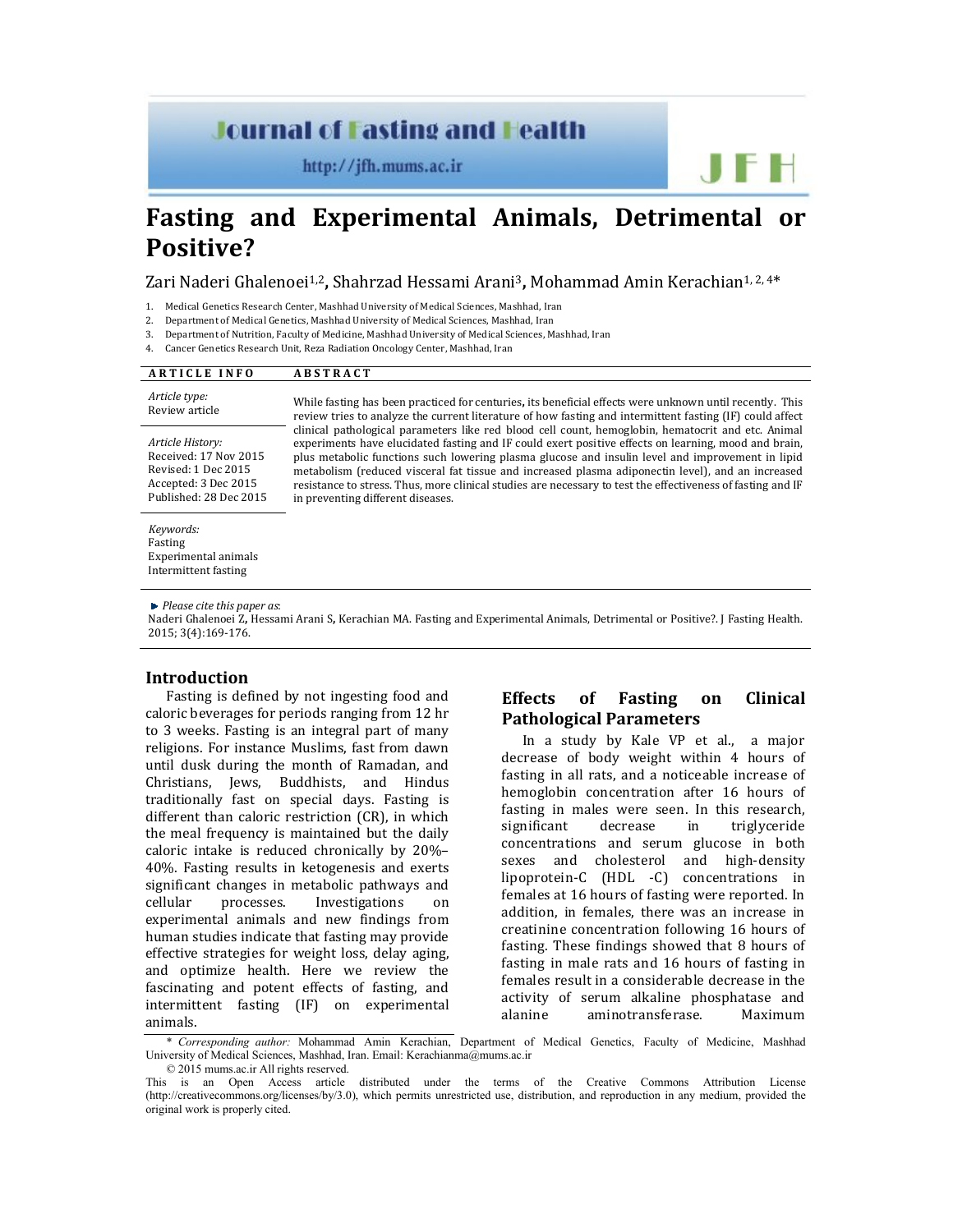## **Journal of Fasting and Health**

http://jfh.mums.ac.ir

# **Fasting and Experimental Animals, Detrimental or Positive?**

Zari Naderi Ghalenoei1,2**,** Shahrzad Hessami Arani3**,** Mohammad Amin Kerachian1, 2, 4\*

- 1. Medical Genetics Research Center, Mashhad University of Medical Sciences, Mashhad, Iran
- 2. Department of Medical Genetics, Mashhad University of Medical Sciences, Mashhad, Iran
- 3. Department of Nutrition, Faculty of Medicine, Mashhad University of Medical Sciences, Mashhad, Iran

in preventing different diseases.

4. Cancer Genetics Research Unit, Reza Radiation Oncology Center, Mashhad, Iran

| <b>ARTICLE INFO</b>                       | <b>ABSTRACT</b>                                                                                                                                                                                                                                                                                                                                                                                                                                                                                                                        |
|-------------------------------------------|----------------------------------------------------------------------------------------------------------------------------------------------------------------------------------------------------------------------------------------------------------------------------------------------------------------------------------------------------------------------------------------------------------------------------------------------------------------------------------------------------------------------------------------|
| Article type:<br>Review article           | While fasting has been practiced for centuries, its beneficial effects were unknown until recently. This<br>review tries to analyze the current literature of how fasting and intermittent fasting (IF) could affect<br>clinical pathological parameters like red blood cell count, hemoglobin, hematocrit and etc. Animal<br>experiments have elucidated fasting and IF could exert positive effects on learning, mood and brain,<br>plus metabolic functions such lowering plasma glucose and insulin level and improvement in lipid |
| Article History:<br>Received: 17 Nov 2015 |                                                                                                                                                                                                                                                                                                                                                                                                                                                                                                                                        |
| Revised: 1 Dec 2015                       | metabolism (reduced visceral fat tissue and increased plasma adiponectin level), and an increased                                                                                                                                                                                                                                                                                                                                                                                                                                      |

*Keywords:* Fasting Experimental animals Intermittent fasting

Accepted: 3 Dec 2015 Published: 28 Dec 2015

#### *Please cite this paper as*:

Naderi Ghalenoei Z**,** Hessami Arani S**,** Kerachian MA. Fasting and Experimental Animals, Detrimental or Positive?. J Fasting Health. 2015; 3(4):169-176.

resistance to stress. Thus, more clinical studies are necessary to test the effectiveness of fasting and IF

#### **Introduction**

Fasting is defined by not ingesting food and caloric beverages for periods ranging from 12 hr to 3 weeks. Fasting is an integral part of many religions. For instance Muslims, fast from dawn until dusk during the month of Ramadan, and Christians, Jews, Buddhists, and Hindus traditionally fast on special days. Fasting is different than caloric restriction (CR), in which the meal frequency is maintained but the daily caloric intake is reduced chronically by 20%– 40%. Fasting results in ketogenesis and exerts significant changes in metabolic pathways and cellular processes. Investigations on experimental animals and new findings from human studies indicate that fasting may provide effective strategies for weight loss, delay aging, and optimize health. Here we review the fascinating and potent effects of fasting, and intermittent fasting (IF) on experimental animals.

## **Effects of Fasting on Clinical Pathological Parameters**

IF IH

In a study by Kale VP et al., a major decrease of body weight within 4 hours of fasting in all rats, and a noticeable increase of hemoglobin concentration after 16 hours of fasting in males were seen. In this research, significant decrease in triglyceride concentrations and serum glucose in both sexes and cholesterol and high-density lipoprotein-C (HDL -C) concentrations in females at 16 hours of fasting were reported. In addition, in females, there was an increase in creatinine concentration following 16 hours of fasting. These findings showed that 8 hours of fasting in male rats and 16 hours of fasting in females result in a considerable decrease in the activity of serum alkaline phosphatase and alanine aminotransferase. Maximum

\* *Corresponding author:* Mohammad Amin Kerachian, Department of Medical Genetics, Faculty of Medicine, Mashhad University of Medical Sciences, Mashhad, Iran. Email: Kerachianma@mums.ac.ir

<sup>© 2015</sup> mums.ac.ir All rights reserved.

This is an Open Access article distributed under the terms of the Creative Commons Attribution License (http://creativecommons.org/licenses/by/3.0), which permits unrestricted use, distribution, and reproduction in any medium, provided the original work is properly cited.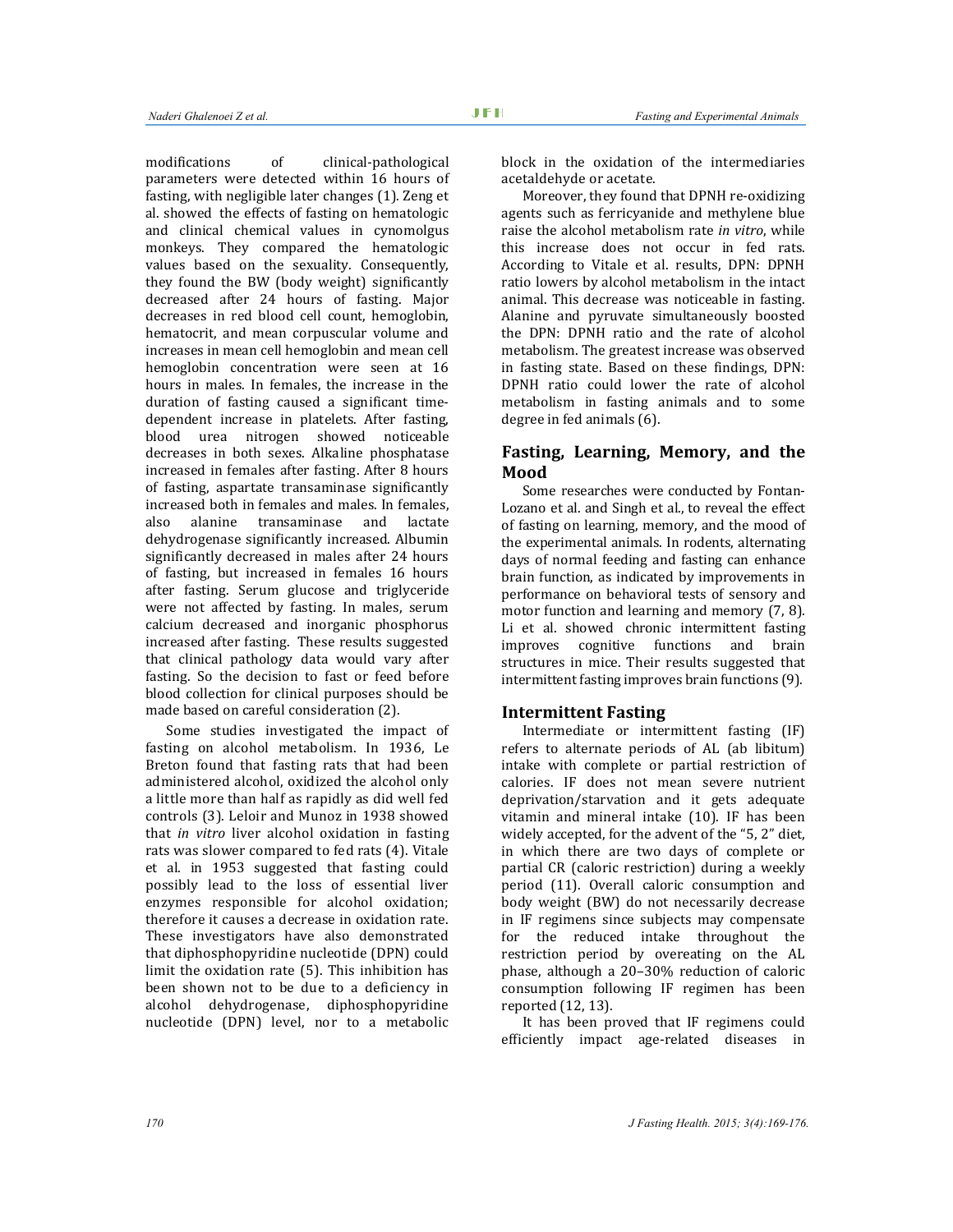modifications of clinical-pathological parameters were detected within 16 hours of fasting, with negligible later changes (1). Zeng et al. showed the effects of fasting on hematologic and clinical chemical values in cynomolgus monkeys. They compared the hematologic values based on the sexuality. Consequently, they found the BW (body weight) significantly decreased after 24 hours of fasting. Major decreases in red blood cell count, hemoglobin, hematocrit, and mean corpuscular volume and increases in mean cell hemoglobin and mean cell hemoglobin concentration were seen at 16 hours in males. In females, the increase in the duration of fasting caused a significant timedependent increase in platelets. After fasting, blood urea nitrogen showed noticeable decreases in both sexes. Alkaline phosphatase increased in females after fasting. After 8 hours of fasting, aspartate transaminase significantly increased both in females and males. In females, also alanine transaminase and lactate dehydrogenase significantly increased. Albumin significantly decreased in males after 24 hours of fasting, but increased in females 16 hours after fasting. Serum glucose and triglyceride were not affected by fasting. In males, serum calcium decreased and inorganic phosphorus increased after fasting. These results suggested that clinical pathology data would vary after fasting. So the decision to fast or feed before blood collection for clinical purposes should be made based on careful consideration (2).

Some studies investigated the impact of fasting on alcohol metabolism. In 1936, Le Breton found that fasting rats that had been administered alcohol, oxidized the alcohol only a little more than half as rapidly as did well fed controls (3). Leloir and Munoz in 1938 showed that *in vitro* liver alcohol oxidation in fasting rats was slower compared to fed rats (4). Vitale et al. in 1953 suggested that fasting could possibly lead to the loss of essential liver enzymes responsible for alcohol oxidation; therefore it causes a decrease in oxidation rate. These investigators have also demonstrated that diphosphopyridine nucleotide (DPN) could limit the oxidation rate (5). This inhibition has been shown not to be due to a deficiency in alcohol dehydrogenase, diphosphopyridine nucleotide (DPN) level, nor to a metabolic

block in the oxidation of the intermediaries acetaldehyde or acetate.

Moreover, they found that DPNH re-oxidizing agents such as ferricyanide and methylene blue raise the alcohol metabolism rate *in vitro*, while this increase does not occur in fed rats. According to Vitale et al. results, DPN: DPNH ratio lowers by alcohol metabolism in the intact animal. This decrease was noticeable in fasting. Alanine and pyruvate simultaneously boosted the DPN: DPNH ratio and the rate of alcohol metabolism. The greatest increase was observed in fasting state. Based on these findings, DPN: DPNH ratio could lower the rate of alcohol metabolism in fasting animals and to some degree in fed animals (6).

## **Fasting, Learning, Memory, and the Mood**

Some researches were conducted by Fontan-Lozano et al. and Singh et al., to reveal the effect of fasting on learning, memory, and the mood of the experimental animals. In rodents, alternating days of normal feeding and fasting can enhance brain function, as indicated by improvements in performance on behavioral tests of sensory and motor function and learning and memory (7, 8). Li et al. showed chronic intermittent fasting improves cognitive functions and brain structures in mice. Their results suggested that intermittent fasting improves brain functions (9).

#### **Intermittent Fasting**

Intermediate or intermittent fasting (IF) refers to alternate periods of AL (ab libitum) intake with complete or partial restriction of calories. IF does not mean severe nutrient deprivation/starvation and it gets adequate vitamin and mineral intake (10). IF has been widely accepted, for the advent of the "5, 2" diet, in which there are two days of complete or partial CR (caloric restriction) during a weekly period (11). Overall caloric consumption and body weight (BW) do not necessarily decrease in IF regimens since subjects may compensate for the reduced intake throughout the restriction period by overeating on the AL phase, although a 20–30% reduction of caloric consumption following IF regimen has been reported (12, 13).

It has been proved that IF regimens could efficiently impact age-related diseases in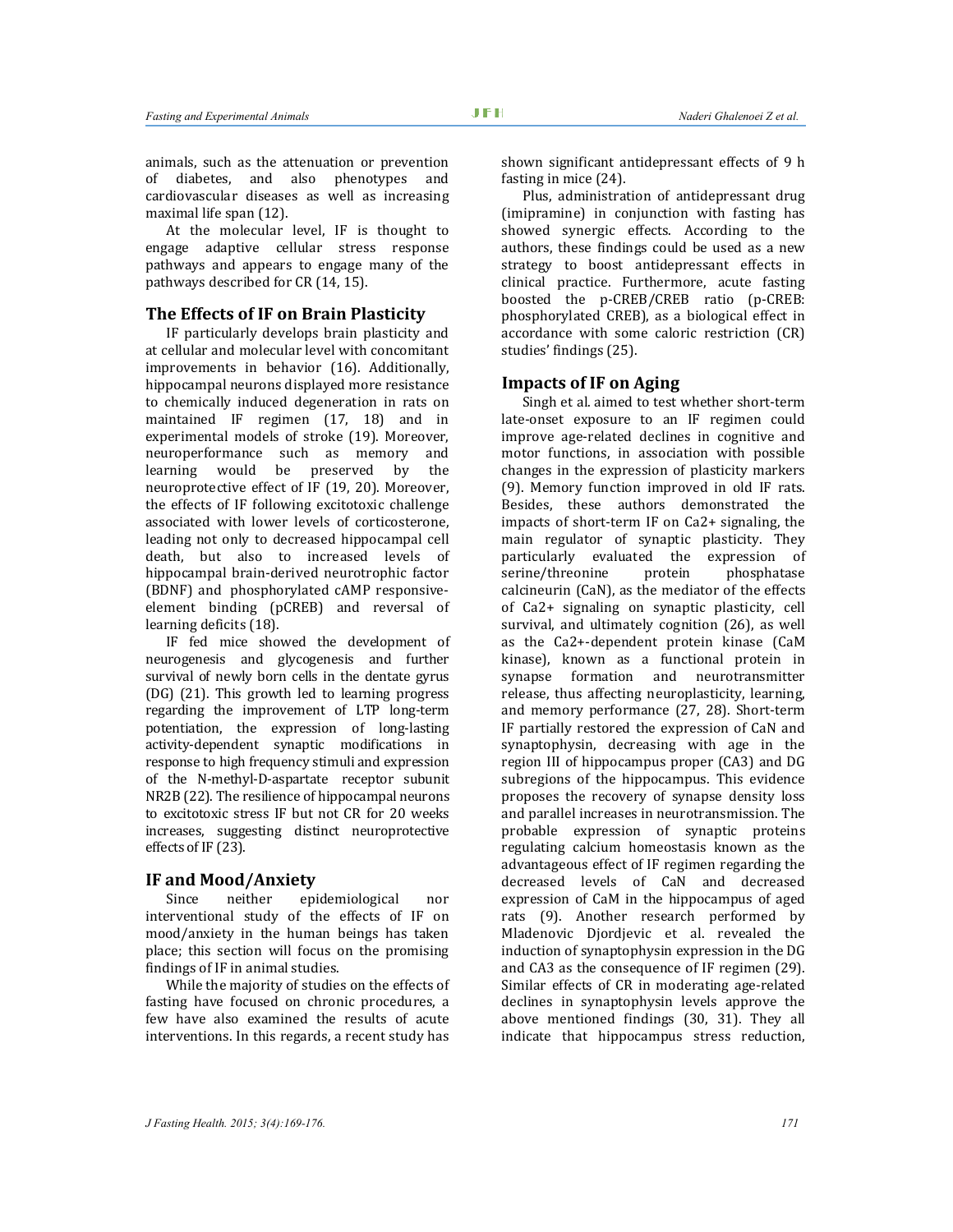animals, such as the attenuation or prevention of diabetes, and also phenotypes and cardiovascular diseases as well as increasing maximal life span (12).

At the molecular level, IF is thought to engage adaptive cellular stress response pathways and appears to engage many of the pathways described for CR (14, 15).

#### **The Effects of IF on Brain Plasticity**

IF particularly develops brain plasticity and at cellular and molecular level with concomitant improvements in behavior (16). Additionally, hippocampal neurons displayed more resistance to chemically induced degeneration in rats on maintained IF regimen (17, 18) and in experimental models of stroke (19). Moreover, neuroperformance such as memory and learning would be preserved by the neuroprotective effect of IF (19, 20). Moreover, the effects of IF following excitotoxic challenge associated with lower levels of corticosterone, leading not only to decreased hippocampal cell death, but also to increased levels of hippocampal brain-derived neurotrophic factor (BDNF) and phosphorylated cAMP responsiveelement binding (pCREB) and reversal of learning deficits (18).

IF fed mice showed the development of neurogenesis and glycogenesis and further survival of newly born cells in the dentate gyrus (DG) (21). This growth led to learning progress regarding the improvement of LTP long-term potentiation, the expression of long-lasting activity-dependent synaptic modifications in response to high frequency stimuli and expression of the N-methyl-D-aspartate receptor subunit NR2B (22). The resilience of hippocampal neurons to excitotoxic stress IF but not CR for 20 weeks increases, suggesting distinct neuroprotective effects of IF (23).

#### **IF and Mood/Anxiety**

Since neither epidemiological nor interventional study of the effects of IF on mood/anxiety in the human beings has taken place; this section will focus on the promising findings of IF in animal studies.

While the majority of studies on the effects of fasting have focused on chronic procedures, a few have also examined the results of acute interventions. In this regards, a recent study has

shown significant antidepressant effects of 9 h fasting in mice (24).

Plus, administration of antidepressant drug (imipramine) in conjunction with fasting has showed synergic effects. According to the authors, these findings could be used as a new strategy to boost antidepressant effects in clinical practice. Furthermore, acute fasting boosted the p-CREB/CREB ratio (p-CREB: phosphorylated CREB), as a biological effect in accordance with some caloric restriction (CR) studies' findings (25).

#### **Impacts of IF on Aging**

Singh et al. aimed to test whether short-term late-onset exposure to an IF regimen could improve age-related declines in cognitive and motor functions, in association with possible changes in the expression of plasticity markers (9). Memory function improved in old IF rats. Besides, these authors demonstrated the impacts of short-term IF on Ca2+ signaling, the main regulator of synaptic plasticity. They particularly evaluated the expression of serine/threonine protein phosphatase calcineurin (CaN), as the mediator of the effects of Ca2+ signaling on synaptic plasticity, cell survival, and ultimately cognition (26), as well as the Ca2+-dependent protein kinase (CaM kinase), known as a functional protein in synapse formation and neurotransmitter release, thus affecting neuroplasticity, learning, and memory performance (27, 28). Short-term IF partially restored the expression of CaN and synaptophysin, decreasing with age in the region III of hippocampus proper (CA3) and DG subregions of the hippocampus. This evidence proposes the recovery of synapse density loss and parallel increases in neurotransmission. The probable expression of synaptic proteins regulating calcium homeostasis known as the advantageous effect of IF regimen regarding the decreased levels of CaN and decreased expression of CaM in the hippocampus of aged rats (9). Another research performed by Mladenovic Djordjevic et al. revealed the induction of synaptophysin expression in the DG and CA3 as the consequence of IF regimen (29). Similar effects of CR in moderating age-related declines in synaptophysin levels approve the above mentioned findings (30, 31). They all indicate that hippocampus stress reduction,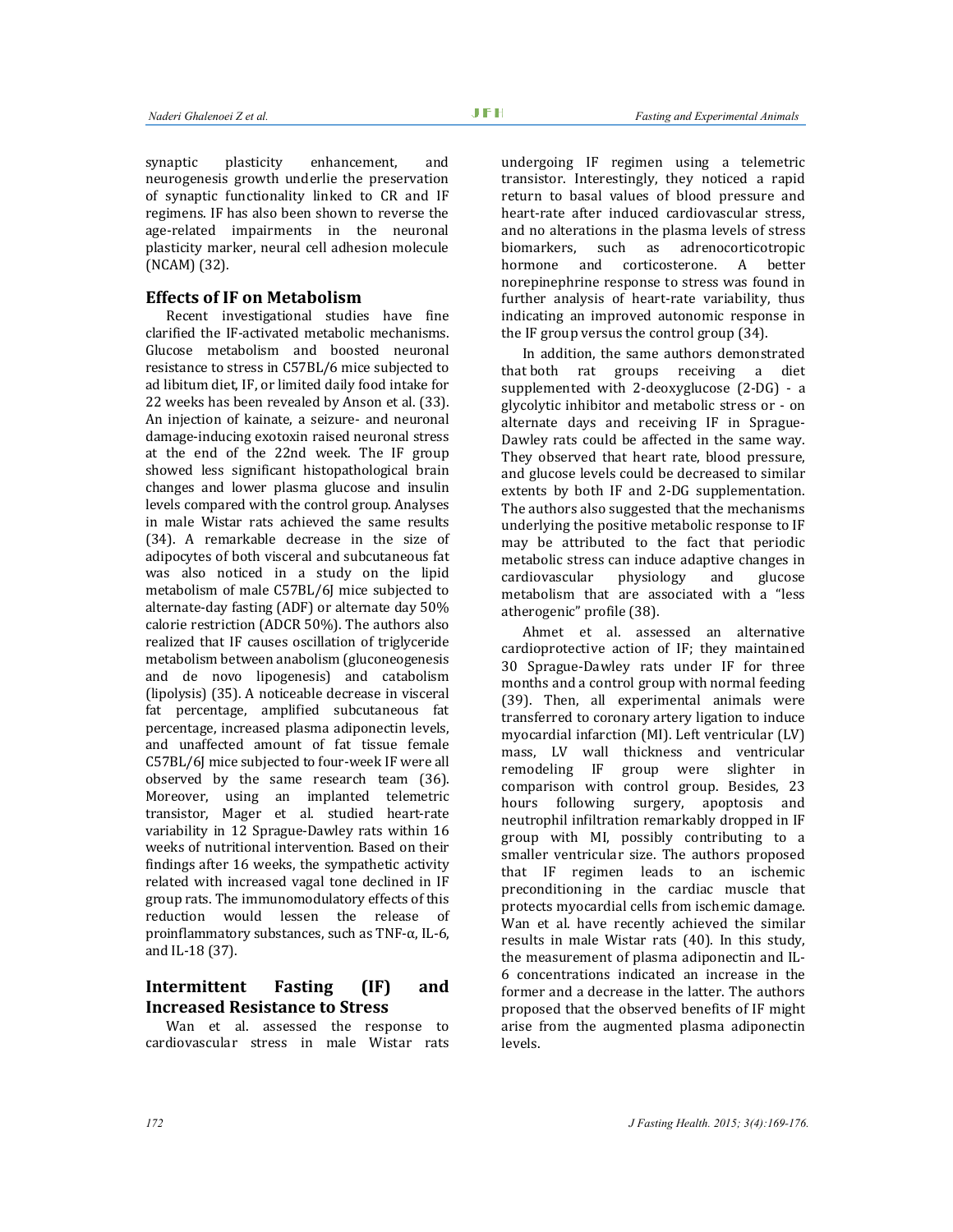synaptic plasticity enhancement, and neurogenesis growth underlie the preservation of synaptic functionality linked to CR and IF regimens. IF has also been shown to reverse the age-related impairments in the neuronal plasticity marker, neural cell adhesion molecule (NCAM) (32).

#### **Effects of IF on Metabolism**

Recent investigational studies have fine clarified the IF-activated metabolic mechanisms. Glucose metabolism and boosted neuronal resistance to stress in C57BL/6 mice subjected to ad libitum diet, IF, or limited daily food intake for 22 weeks has been revealed by Anson et al. (33). An injection of kainate, a seizure- and neuronal damage-inducing exotoxin raised neuronal stress at the end of the 22nd week. The IF group showed less significant histopathological brain changes and lower plasma glucose and insulin levels compared with the control group. Analyses in male Wistar rats achieved the same results (34). A remarkable decrease in the size of adipocytes of both visceral and subcutaneous fat was also noticed in a study on the lipid metabolism of male C57BL/6J mice subjected to alternate-day fasting (ADF) or alternate day 50% calorie restriction (ADCR 50%). The authors also realized that IF causes oscillation of triglyceride metabolism between anabolism (gluconeogenesis and de novo lipogenesis) and catabolism (lipolysis) (35). A noticeable decrease in visceral fat percentage, amplified subcutaneous fat percentage, increased plasma adiponectin levels, and unaffected amount of fat tissue female C57BL/6J mice subjected to four-week IF were all observed by the same research team (36). Moreover, using an implanted telemetric transistor, Mager et al. studied heart-rate variability in 12 Sprague-Dawley rats within 16 weeks of nutritional intervention. Based on their findings after 16 weeks, the sympathetic activity related with increased vagal tone declined in IF group rats. The immunomodulatory effects of this reduction would lessen the release of proinflammatory substances, such as TNF-α, IL-6, and IL-18 (37).

### **Intermittent Fasting (IF) and Increased Resistance to Stress**

Wan et al. assessed the response to cardiovascular stress in male Wistar rats undergoing IF regimen using a telemetric transistor. Interestingly, they noticed a rapid return to basal values of blood pressure and heart-rate after induced cardiovascular stress, and no alterations in the plasma levels of stress biomarkers, such as adrenocorticotropic hormone and corticosterone. A better norepinephrine response to stress was found in further analysis of heart-rate variability, thus indicating an improved autonomic response in the IF group versus the control group (34).

In addition, the same authors demonstrated that both rat groups receiving a diet supplemented with 2-deoxyglucose (2-DG) - a glycolytic inhibitor and metabolic stress or - on alternate days and receiving IF in Sprague-Dawley rats could be affected in the same way. They observed that heart rate, blood pressure, and glucose levels could be decreased to similar extents by both IF and 2-DG supplementation. The authors also suggested that the mechanisms underlying the positive metabolic response to IF may be attributed to the fact that periodic metabolic stress can induce adaptive changes in cardiovascular physiology and glucose metabolism that are associated with a "less atherogenic" profile (38).

Ahmet et al. assessed an alternative cardioprotective action of IF; they maintained 30 Sprague-Dawley rats under IF for three months and a control group with normal feeding (39). Then, all experimental animals were transferred to coronary artery ligation to induce myocardial infarction (MI). Left ventricular (LV) mass, LV wall thickness and ventricular remodeling IF group were slighter in comparison with control group. Besides, 23 hours following surgery, apoptosis and neutrophil infiltration remarkably dropped in IF group with MI, possibly contributing to a smaller ventricular size. The authors proposed that IF regimen leads to an ischemic preconditioning in the cardiac muscle that protects myocardial cells from ischemic damage. Wan et al. have recently achieved the similar results in male Wistar rats (40). In this study, the measurement of plasma adiponectin and IL-6 concentrations indicated an increase in the former and a decrease in the latter. The authors proposed that the observed benefits of IF might arise from the augmented plasma adiponectin levels.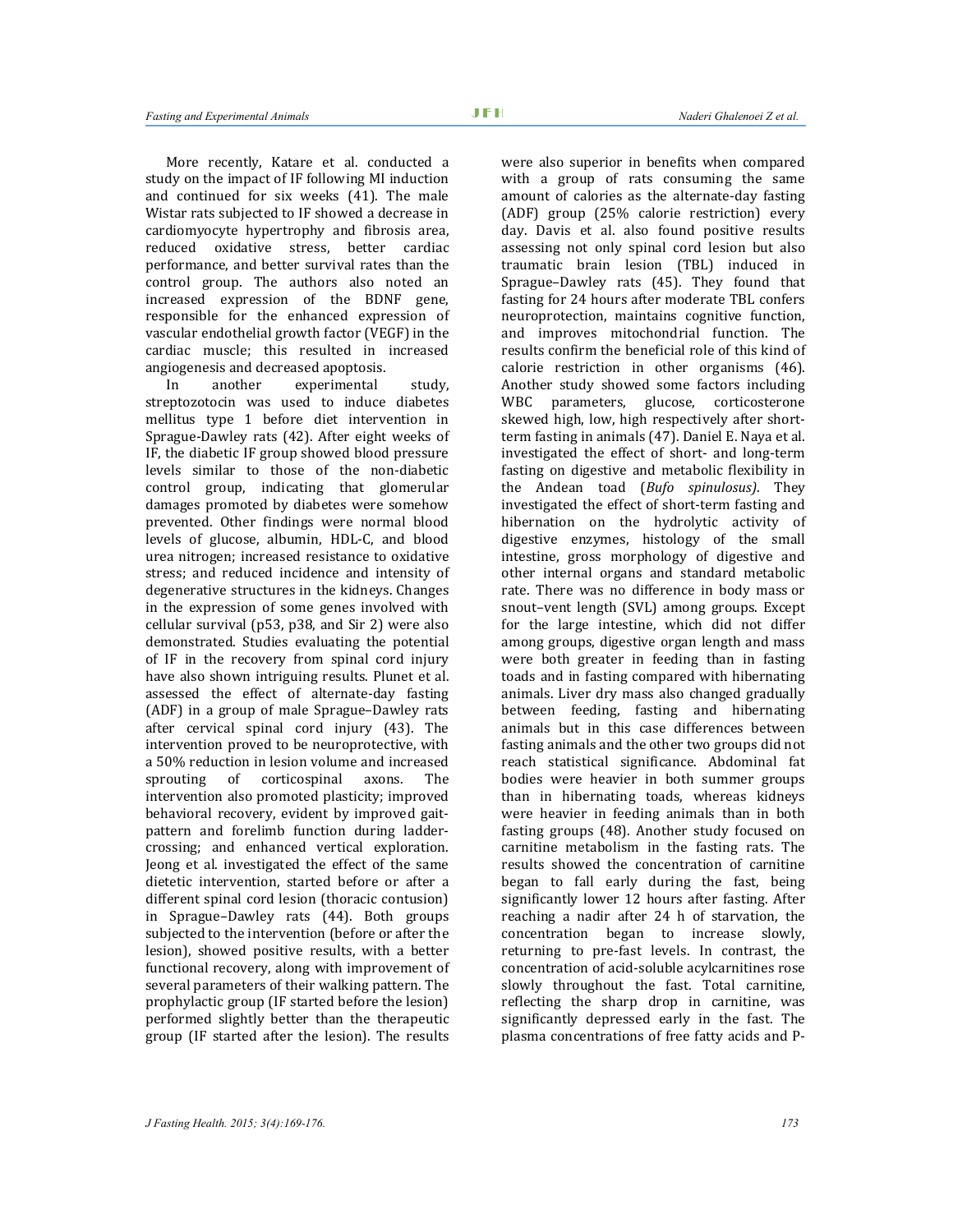More recently, Katare et al. conducted a study on the impact of IF following MI induction and continued for six weeks (41). The male Wistar rats subjected to IF showed a decrease in cardiomyocyte hypertrophy and fibrosis area, reduced oxidative stress, better cardiac performance, and better survival rates than the control group. The authors also noted an increased expression of the BDNF gene, responsible for the enhanced expression of vascular endothelial growth factor (VEGF) in the cardiac muscle; this resulted in increased angiogenesis and decreased apoptosis.

In another experimental study, streptozotocin was used to induce diabetes mellitus type 1 before diet intervention in Sprague-Dawley rats (42). After eight weeks of IF, the diabetic IF group showed blood pressure levels similar to those of the non-diabetic control group, indicating that glomerular damages promoted by diabetes were somehow prevented. Other findings were normal blood levels of glucose, albumin, HDL-C, and blood urea nitrogen; increased resistance to oxidative stress; and reduced incidence and intensity of degenerative structures in the kidneys. Changes in the expression of some genes involved with cellular survival (p53, p38, and Sir 2) were also demonstrated. Studies evaluating the potential of IF in the recovery from spinal cord injury have also shown intriguing results. Plunet et al. assessed the effect of alternate-day fasting (ADF) in a group of male Sprague–Dawley rats after cervical spinal cord injury (43). The intervention proved to be neuroprotective, with a 50% reduction in lesion volume and increased sprouting of corticospinal axons. The intervention also promoted plasticity; improved behavioral recovery, evident by improved gaitpattern and forelimb function during laddercrossing; and enhanced vertical exploration. Jeong et al. investigated the effect of the same dietetic intervention, started before or after a different spinal cord lesion (thoracic contusion) in Sprague–Dawley rats (44). Both groups subjected to the intervention (before or after the lesion), showed positive results, with a better functional recovery, along with improvement of several parameters of their walking pattern. The prophylactic group (IF started before the lesion) performed slightly better than the therapeutic group (IF started after the lesion). The results

were also superior in benefits when compared with a group of rats consuming the same amount of calories as the alternate-day fasting (ADF) group (25% calorie restriction) every day. Davis et al. also found positive results assessing not only spinal cord lesion but also traumatic brain lesion (TBL) induced in Sprague–Dawley rats (45). They found that fasting for 24 hours after moderate TBL confers neuroprotection, maintains cognitive function, and improves mitochondrial function. The results confirm the beneficial role of this kind of calorie restriction in other organisms (46). Another study showed some factors including WBC parameters, glucose, corticosterone skewed high, low, high respectively after shortterm fasting in animals (47). Daniel E. Naya et al. investigated the effect of short- and long-term fasting on digestive and metabolic flexibility in the Andean toad (*Bufo spinulosus)*. They investigated the effect of short-term fasting and hibernation on the hydrolytic activity of digestive enzymes, histology of the small intestine, gross morphology of digestive and other internal organs and standard metabolic rate. There was no difference in body mass or snout–vent length (SVL) among groups. Except for the large intestine, which did not differ among groups, digestive organ length and mass were both greater in feeding than in fasting toads and in fasting compared with hibernating animals. Liver dry mass also changed gradually between feeding, fasting and hibernating animals but in this case differences between fasting animals and the other two groups did not reach statistical significance. Abdominal fat bodies were heavier in both summer groups than in hibernating toads, whereas kidneys were heavier in feeding animals than in both fasting groups (48). Another study focused on carnitine metabolism in the fasting rats. The results showed the concentration of carnitine began to fall early during the fast, being significantly lower 12 hours after fasting. After reaching a nadir after 24 h of starvation, the concentration began to increase slowly, returning to pre-fast levels. In contrast, the concentration of acid-soluble acylcarnitines rose slowly throughout the fast. Total carnitine, reflecting the sharp drop in carnitine, was significantly depressed early in the fast. The plasma concentrations of free fatty acids and P-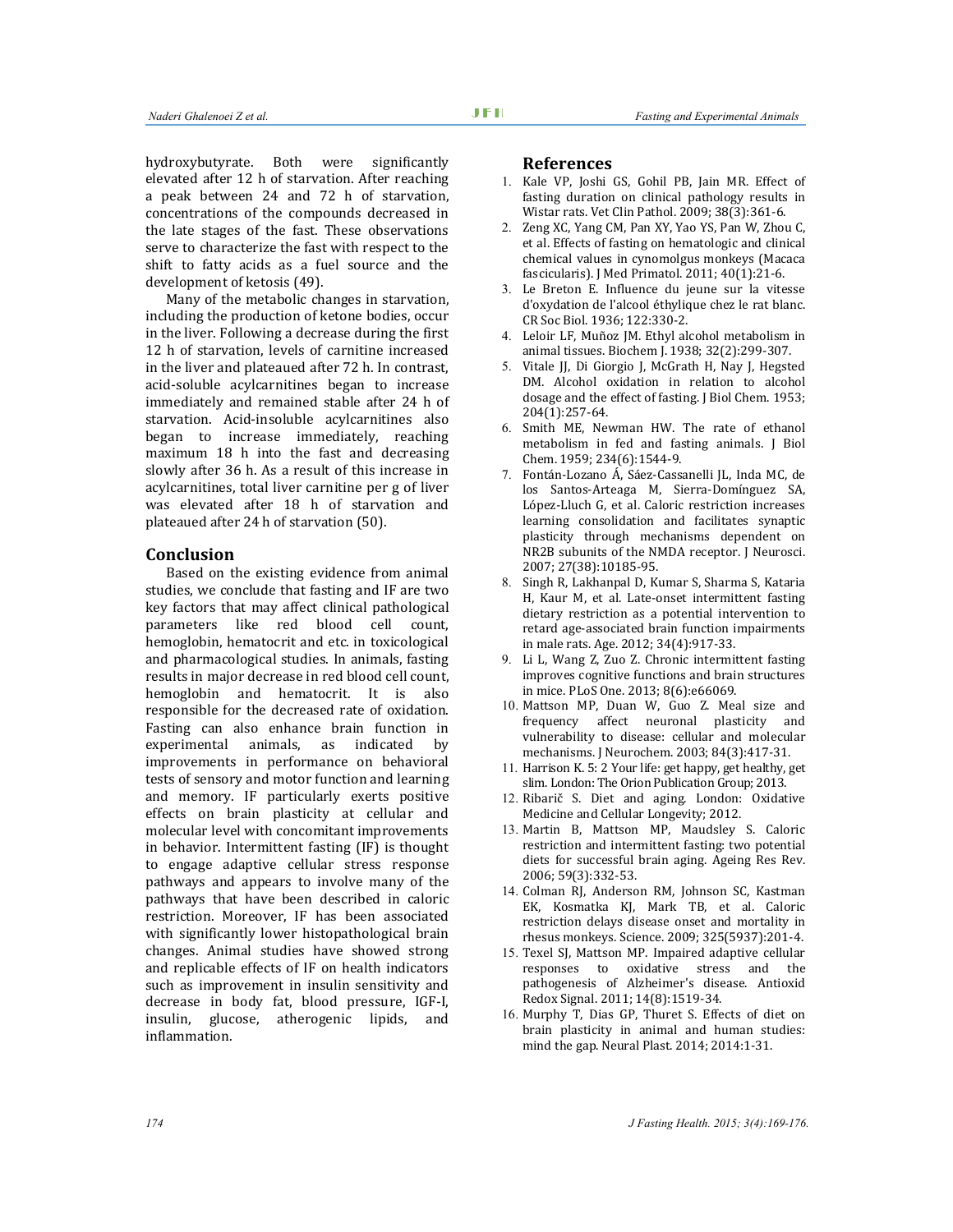hydroxybutyrate. Both were significantly elevated after 12 h of starvation. After reaching a peak between 24 and 72 h of starvation, concentrations of the compounds decreased in the late stages of the fast. These observations serve to characterize the fast with respect to the shift to fatty acids as a fuel source and the development of ketosis (49).

Many of the metabolic changes in starvation, including the production of ketone bodies, occur in the liver. Following a decrease during the first 12 h of starvation, levels of carnitine increased in the liver and plateaued after 72 h. In contrast, acid-soluble acylcarnitines began to increase immediately and remained stable after 24 h of starvation. Acid-insoluble acylcarnitines also began to increase immediately, reaching maximum 18 h into the fast and decreasing slowly after 36 h. As a result of this increase in acylcarnitines, total liver carnitine per g of liver was elevated after 18 h of starvation and plateaued after 24 h of starvation (50).

#### **Conclusion**

Based on the existing evidence from animal studies, we conclude that fasting and IF are two key factors that may affect clinical pathological parameters like red blood cell count, hemoglobin, hematocrit and etc. in toxicological and pharmacological studies. In animals, fasting results in major decrease in red blood cell count, hemoglobin and hematocrit. It is also responsible for the decreased rate of oxidation. Fasting can also enhance brain function in experimental animals, as indicated by improvements in performance on behavioral tests of sensory and motor function and learning and memory. IF particularly exerts positive effects on brain plasticity at cellular and molecular level with concomitant improvements in behavior. Intermittent fasting (IF) is thought to engage adaptive cellular stress response pathways and appears to involve many of the pathways that have been described in caloric restriction. Moreover, IF has been associated with significantly lower histopathological brain changes. Animal studies have showed strong and replicable effects of IF on health indicators such as improvement in insulin sensitivity and decrease in body fat, blood pressure, IGF-I, insulin, glucose, atherogenic lipids, and inflammation.

#### **References**

- 1. Kale VP, Joshi GS, Gohil PB, Jain MR. Effect of fasting duration on clinical pathology results in Wistar rats. Vet Clin Pathol. 2009; 38(3):361-6.
- 2. Zeng XC, Yang CM, Pan XY, Yao YS, Pan W, Zhou C, et al. Effects of fasting on hematologic and clinical chemical values in cynomolgus monkeys (Macaca fascicularis). J Med Primatol. 2011; 40(1):21-6.
- 3. Le Breton E. Influence du jeune sur la vitesse d'oxydation de l'alcool éthylique chez le rat blanc. CR Soc Biol. 1936; 122:330-2.
- 4. Leloir LF, Muñoz JM. Ethyl alcohol metabolism in animal tissues. Biochem J. 1938; 32(2):299-307.
- 5. Vitale JJ, Di Giorgio J, McGrath H, Nay J, Hegsted DM. Alcohol oxidation in relation to alcohol dosage and the effect of fasting. J Biol Chem. 1953; 204(1):257-64.
- 6. Smith ME, Newman HW. The rate of ethanol metabolism in fed and fasting animals. J Biol Chem. 1959; 234(6):1544-9.
- 7. Fontán-Lozano Á, Sáez-Cassanelli JL, Inda MC, de los Santos-Arteaga M, Sierra-Domínguez SA, López-Lluch G, et al. Caloric restriction increases learning consolidation and facilitates synaptic plasticity through mechanisms dependent on NR2B subunits of the NMDA receptor. J Neurosci. 2007; 27(38):10185-95.
- 8. Singh R, Lakhanpal D, Kumar S, Sharma S, Kataria H, Kaur M, et al. Late-onset intermittent fasting dietary restriction as a potential intervention to retard age-associated brain function impairments in male rats. Age. 2012; 34(4):917-33.
- 9. Li L, Wang Z, Zuo Z. Chronic intermittent fasting improves cognitive functions and brain structures in mice. PLoS One. 2013; 8(6):e66069.
- 10. Mattson MP, Duan W, Guo Z. Meal size and frequency affect neuronal plasticity and vulnerability to disease: cellular and molecular mechanisms. J Neurochem. 2003; 84(3):417-31.
- 11. Harrison K. 5: 2 Your life: get happy, get healthy, get slim. London: The Orion Publication Group; 2013.
- 12. Ribarič S. Diet and aging. London: Oxidative Medicine and Cellular Longevity; 2012.
- 13. Martin B, Mattson MP, Maudsley S. Caloric restriction and intermittent fasting: two potential diets for successful brain aging. Ageing Res Rev. 2006; 59(3):332-53.
- 14. Colman RJ, Anderson RM, Johnson SC, Kastman EK, Kosmatka KJ, Mark TB, et al. Caloric restriction delays disease onset and mortality in rhesus monkeys. Science. 2009; 325(5937):201-4.
- 15. Texel SJ, Mattson MP. Impaired adaptive cellular responses to oxidative stress and the pathogenesis of Alzheimer's disease. Antioxid Redox Signal. 2011; 14(8):1519-34.
- 16. Murphy T, Dias GP, Thuret S. Effects of diet on brain plasticity in animal and human studies: mind the gap. Neural Plast. 2014; 2014:1-31.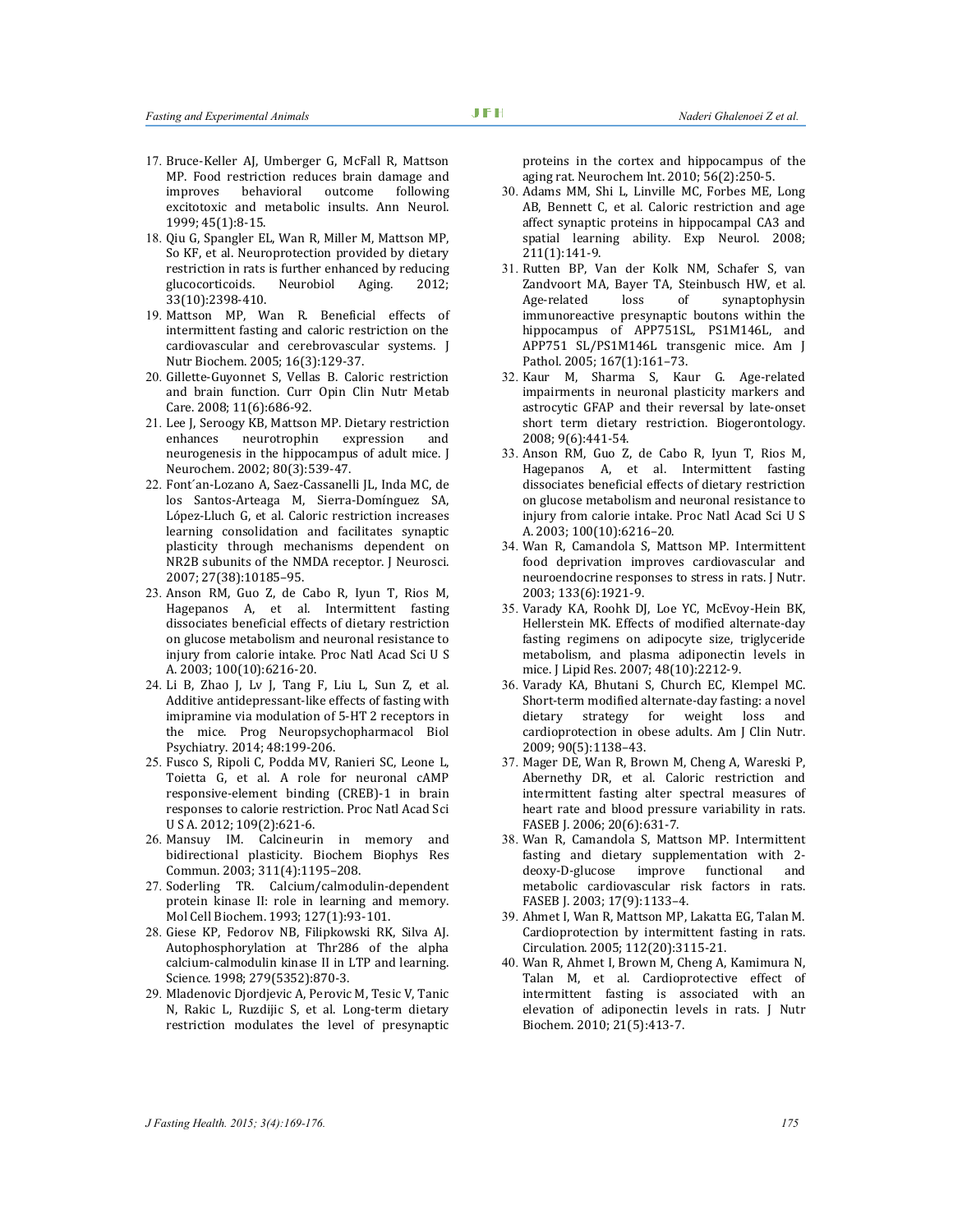- 17. Bruce‐Keller AJ, Umberger G, McFall R, Mattson MP. Food restriction reduces brain damage and improves behavioral outcome following excitotoxic and metabolic insults. Ann Neurol. 1999; 45(1):8-15.
- 18. Qiu G, Spangler EL, Wan R, Miller M, Mattson MP, So KF, et al. Neuroprotection provided by dietary restriction in rats is further enhanced by reducing glucocorticoids. Neurobiol Aging. 2012; 33(10):2398-410.
- 19. Mattson MP, Wan R. Beneficial effects of intermittent fasting and caloric restriction on the cardiovascular and cerebrovascular systems. J Nutr Biochem. 2005; 16(3):129-37.
- 20. Gillette-Guyonnet S, Vellas B. Caloric restriction and brain function. Curr Opin Clin Nutr Metab Care. 2008; 11(6):686-92.
- 21. Lee J, Seroogy KB, Mattson MP. Dietary restriction enhances neurotrophin expression and neurogenesis in the hippocampus of adult mice. J Neurochem. 2002; 80(3):539-47.
- 22. Font´an-Lozano A, Saez-Cassanelli JL, Inda MC, de los Santos-Arteaga M, Sierra-Domínguez SA, López-Lluch G, et al. Caloric restriction increases learning consolidation and facilitates synaptic plasticity through mechanisms dependent on NR2B subunits of the NMDA receptor. J Neurosci. 2007; 27(38):10185–95.
- 23. Anson RM, Guo Z, de Cabo R, Iyun T, Rios M, Hagepanos A, et al. Intermittent fasting dissociates beneficial effects of dietary restriction on glucose metabolism and neuronal resistance to injury from calorie intake. Proc Natl Acad Sci U S A. 2003; 100(10):6216-20.
- 24. Li B, Zhao J, Lv J, Tang F, Liu L, Sun Z, et al. Additive antidepressant-like effects of fasting with imipramine via modulation of 5-HT 2 receptors in the mice. Prog Neuropsychopharmacol Biol Psychiatry. 2014; 48:199-206.
- 25. Fusco S, Ripoli C, Podda MV, Ranieri SC, Leone L, Toietta G, et al. A role for neuronal cAMP responsive-element binding (CREB)-1 in brain responses to calorie restriction. Proc Natl Acad Sci U S A. 2012; 109(2):621-6.
- 26. Mansuy IM. Calcineurin in memory and bidirectional plasticity. Biochem Biophys Res Commun. 2003; 311(4):1195–208.
- 27. Soderling TR. Calcium/calmodulin-dependent protein kinase II: role in learning and memory. Mol Cell Biochem. 1993; 127(1):93-101.
- 28. Giese KP, Fedorov NB, Filipkowski RK, Silva AJ. Autophosphorylation at Thr286 of the alpha calcium-calmodulin kinase II in LTP and learning. Science. 1998; 279(5352):870-3.
- 29. Mladenovic Djordjevic A, Perovic M, Tesic V, Tanic N, Rakic L, Ruzdijic S, et al. Long-term dietary restriction modulates the level of presynaptic

proteins in the cortex and hippocampus of the aging rat. Neurochem Int. 2010; 56(2):250-5.

- 30. Adams MM, Shi L, Linville MC, Forbes ME, Long AB, Bennett C, et al. Caloric restriction and age affect synaptic proteins in hippocampal CA3 and spatial learning ability. Exp Neurol. 2008; 211(1):141-9.
- 31. Rutten BP, Van der Kolk NM, Schafer S, van Zandvoort MA, Bayer TA, Steinbusch HW, et al. Age-related loss of synaptophysin immunoreactive presynaptic boutons within the hippocampus of APP751SL, PS1M146L, and APP751 SL/PS1M146L transgenic mice. Am J Pathol. 2005; 167(1):161–73.
- 32. Kaur M, Sharma S, Kaur G. Age-related impairments in neuronal plasticity markers and astrocytic GFAP and their reversal by late-onset short term dietary restriction. Biogerontology. 2008; 9(6):441-54.
- 33. Anson RM, Guo Z, de Cabo R, Iyun T, Rios M, Hagepanos A, et al. Intermittent fasting dissociates beneficial effects of dietary restriction on glucose metabolism and neuronal resistance to injury from calorie intake. Proc Natl Acad Sci U S A. 2003; 100(10):6216–20.
- 34. Wan R, Camandola S, Mattson MP. Intermittent food deprivation improves cardiovascular and neuroendocrine responses to stress in rats. J Nutr. 2003; 133(6):1921-9.
- 35. Varady KA, Roohk DJ, Loe YC, McEvoy-Hein BK, Hellerstein MK. Effects of modified alternate-day fasting regimens on adipocyte size, triglyceride metabolism, and plasma adiponectin levels in mice. J Lipid Res. 2007; 48(10):2212-9.
- 36. Varady KA, Bhutani S, Church EC, Klempel MC. Short-term modified alternate-day fasting: a novel dietary strategy for weight loss and cardioprotection in obese adults. Am J Clin Nutr. 2009; 90(5):1138–43.
- 37. Mager DE, Wan R, Brown M, Cheng A, Wareski P, Abernethy DR, et al. Caloric restriction and intermittent fasting alter spectral measures of heart rate and blood pressure variability in rats. FASEB J. 2006; 20(6):631-7.
- 38. Wan R, Camandola S, Mattson MP. Intermittent fasting and dietary supplementation with 2 deoxy-D-glucose improve functional and metabolic cardiovascular risk factors in rats. FASEB J. 2003; 17(9):1133–4.
- 39. Ahmet I, Wan R, Mattson MP, Lakatta EG, Talan M. Cardioprotection by intermittent fasting in rats. Circulation. 2005; 112(20):3115-21.
- 40. Wan R, Ahmet I, Brown M, Cheng A, Kamimura N, Talan M, et al. Cardioprotective effect of intermittent fasting is associated with an elevation of adiponectin levels in rats. J Nutr Biochem. 2010; 21(5):413-7.